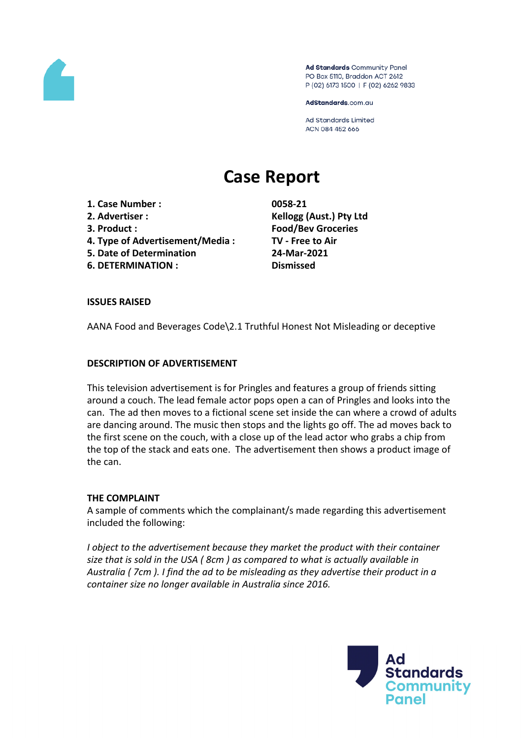

Ad Standards Community Panel PO Box 5110, Braddon ACT 2612 P (02) 6173 1500 | F (02) 6262 9833

AdStandards.com.au

**Ad Standards Limited** ACN 084 452 666

# **Case Report**

- **1. Case Number : 0058-21**
- 
- 
- **4. Type of Advertisement/Media : TV - Free to Air**
- **5. Date of Determination 24-Mar-2021**
- **6. DETERMINATION : Dismissed**

**2. Advertiser : Kellogg (Aust.) Pty Ltd 3. Product : Food/Bev Groceries**

#### **ISSUES RAISED**

AANA Food and Beverages Code\2.1 Truthful Honest Not Misleading or deceptive

#### **DESCRIPTION OF ADVERTISEMENT**

This television advertisement is for Pringles and features a group of friends sitting around a couch. The lead female actor pops open a can of Pringles and looks into the can. The ad then moves to a fictional scene set inside the can where a crowd of adults are dancing around. The music then stops and the lights go off. The ad moves back to the first scene on the couch, with a close up of the lead actor who grabs a chip from the top of the stack and eats one. The advertisement then shows a product image of the can.

### **THE COMPLAINT**

A sample of comments which the complainant/s made regarding this advertisement included the following:

*I object to the advertisement because they market the product with their container size that is sold in the USA ( 8cm ) as compared to what is actually available in Australia ( 7cm ). I find the ad to be misleading as they advertise their product in a container size no longer available in Australia since 2016.*

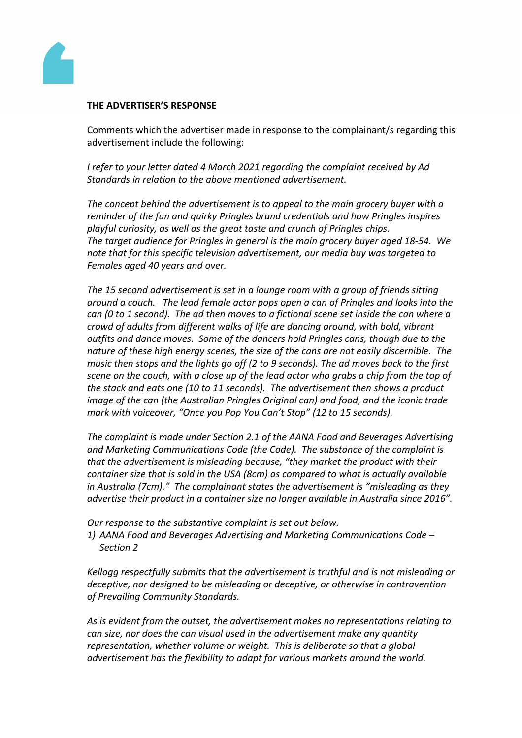

#### **THE ADVERTISER'S RESPONSE**

Comments which the advertiser made in response to the complainant/s regarding this advertisement include the following:

*I refer to your letter dated 4 March 2021 regarding the complaint received by Ad Standards in relation to the above mentioned advertisement.*

*The concept behind the advertisement is to appeal to the main grocery buyer with a reminder of the fun and quirky Pringles brand credentials and how Pringles inspires playful curiosity, as well as the great taste and crunch of Pringles chips. The target audience for Pringles in general is the main grocery buyer aged 18-54. We note that for this specific television advertisement, our media buy was targeted to Females aged 40 years and over.*

*The 15 second advertisement is set in a lounge room with a group of friends sitting around a couch. The lead female actor pops open a can of Pringles and looks into the can (0 to 1 second). The ad then moves to a fictional scene set inside the can where a crowd of adults from different walks of life are dancing around, with bold, vibrant outfits and dance moves. Some of the dancers hold Pringles cans, though due to the nature of these high energy scenes, the size of the cans are not easily discernible. The music then stops and the lights go off (2 to 9 seconds). The ad moves back to the first* scene on the couch, with a close up of the lead actor who grabs a chip from the top of *the stack and eats one (10 to 11 seconds). The advertisement then shows a product image of the can (the Australian Pringles Original can) and food, and the iconic trade mark with voiceover, "Once you Pop You Can't Stop" (12 to 15 seconds).*

*The complaint is made under Section 2.1 of the AANA Food and Beverages Advertising and Marketing Communications Code (the Code). The substance of the complaint is that the advertisement is misleading because, "they market the product with their container size that is sold in the USA (8cm) as compared to what is actually available in Australia (7cm)." The complainant states the advertisement is "misleading as they advertise their product in a container size no longer available in Australia since 2016".*

*Our response to the substantive complaint is set out below. 1) AANA Food and Beverages Advertising and Marketing Communications Code – Section 2*

*Kellogg respectfully submits that the advertisement is truthful and is not misleading or deceptive, nor designed to be misleading or deceptive, or otherwise in contravention of Prevailing Community Standards.*

*As is evident from the outset, the advertisement makes no representations relating to can size, nor does the can visual used in the advertisement make any quantity representation, whether volume or weight. This is deliberate so that a global advertisement has the flexibility to adapt for various markets around the world.*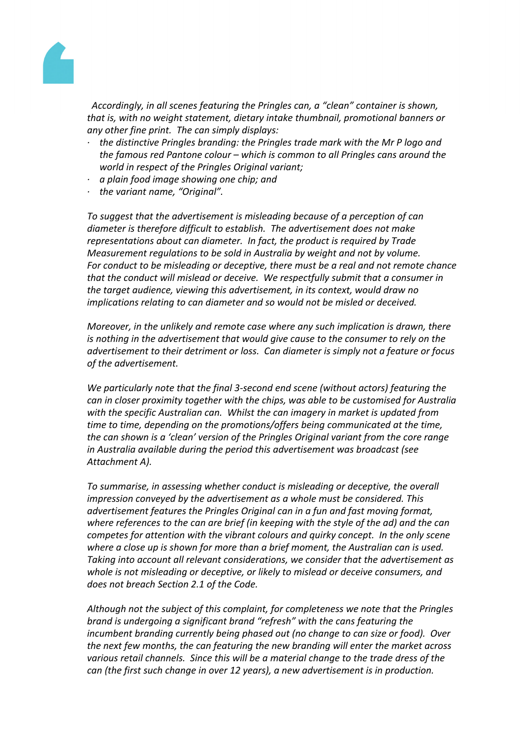

 *Accordingly, in all scenes featuring the Pringles can, a "clean" container is shown, that is, with no weight statement, dietary intake thumbnail, promotional banners or any other fine print. The can simply displays:*

- *· the distinctive Pringles branding: the Pringles trade mark with the Mr P logo and the famous red Pantone colour – which is common to all Pringles cans around the world in respect of the Pringles Original variant;*
- *· a plain food image showing one chip; and*
- *· the variant name, "Original".*

*To suggest that the advertisement is misleading because of a perception of can diameter is therefore difficult to establish. The advertisement does not make representations about can diameter. In fact, the product is required by Trade Measurement regulations to be sold in Australia by weight and not by volume. For conduct to be misleading or deceptive, there must be a real and not remote chance that the conduct will mislead or deceive. We respectfully submit that a consumer in the target audience, viewing this advertisement, in its context, would draw no implications relating to can diameter and so would not be misled or deceived.*

*Moreover, in the unlikely and remote case where any such implication is drawn, there is nothing in the advertisement that would give cause to the consumer to rely on the advertisement to their detriment or loss. Can diameter is simply not a feature or focus of the advertisement.*

*We particularly note that the final 3-second end scene (without actors) featuring the can in closer proximity together with the chips, was able to be customised for Australia with the specific Australian can. Whilst the can imagery in market is updated from time to time, depending on the promotions/offers being communicated at the time, the can shown is a 'clean' version of the Pringles Original variant from the core range in Australia available during the period this advertisement was broadcast (see Attachment A).*

*To summarise, in assessing whether conduct is misleading or deceptive, the overall impression conveyed by the advertisement as a whole must be considered. This advertisement features the Pringles Original can in a fun and fast moving format, where references to the can are brief (in keeping with the style of the ad) and the can competes for attention with the vibrant colours and quirky concept. In the only scene where a close up is shown for more than a brief moment, the Australian can is used. Taking into account all relevant considerations, we consider that the advertisement as whole is not misleading or deceptive, or likely to mislead or deceive consumers, and does not breach Section 2.1 of the Code.*

*Although not the subject of this complaint, for completeness we note that the Pringles brand is undergoing a significant brand "refresh" with the cans featuring the incumbent branding currently being phased out (no change to can size or food). Over the next few months, the can featuring the new branding will enter the market across various retail channels. Since this will be a material change to the trade dress of the can (the first such change in over 12 years), a new advertisement is in production.*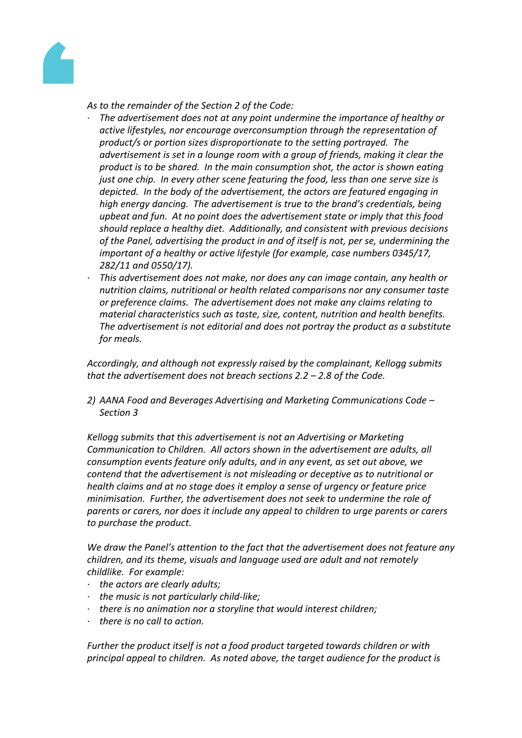

*As to the remainder of the Section 2 of the Code:*

- *· The advertisement does not at any point undermine the importance of healthy or active lifestyles, nor encourage overconsumption through the representation of product/s or portion sizes disproportionate to the setting portrayed. The advertisement is set in a lounge room with a group of friends, making it clear the product is to be shared. In the main consumption shot, the actor is shown eating just one chip. In every other scene featuring the food, less than one serve size is depicted. In the body of the advertisement, the actors are featured engaging in high energy dancing. The advertisement is true to the brand's credentials, being upbeat and fun. At no point does the advertisement state or imply that this food should replace a healthy diet. Additionally, and consistent with previous decisions of the Panel, advertising the product in and of itself is not, per se, undermining the important of a healthy or active lifestyle (for example, case numbers 0345/17, 282/11 and 0550/17).*
- *· This advertisement does not make, nor does any can image contain, any health or nutrition claims, nutritional or health related comparisons nor any consumer taste or preference claims. The advertisement does not make any claims relating to material characteristics such as taste, size, content, nutrition and health benefits. The advertisement is not editorial and does not portray the product as a substitute for meals.*

*Accordingly, and although not expressly raised by the complainant, Kellogg submits that the advertisement does not breach sections 2.2 – 2.8 of the Code.*

*2) AANA Food and Beverages Advertising and Marketing Communications Code – Section 3*

*Kellogg submits that this advertisement is not an Advertising or Marketing Communication to Children. All actors shown in the advertisement are adults, all consumption events feature only adults, and in any event, as set out above, we contend that the advertisement is not misleading or deceptive as to nutritional or health claims and at no stage does it employ a sense of urgency or feature price minimisation. Further, the advertisement does not seek to undermine the role of parents or carers, nor does it include any appeal to children to urge parents or carers to purchase the product.*

*We draw the Panel's attention to the fact that the advertisement does not feature any children, and its theme, visuals and language used are adult and not remotely childlike. For example:*

- *· the actors are clearly adults;*
- *· the music is not particularly child-like;*
- *· there is no animation nor a storyline that would interest children;*
- *· there is no call to action.*

*Further the product itself is not a food product targeted towards children or with principal appeal to children. As noted above, the target audience for the product is*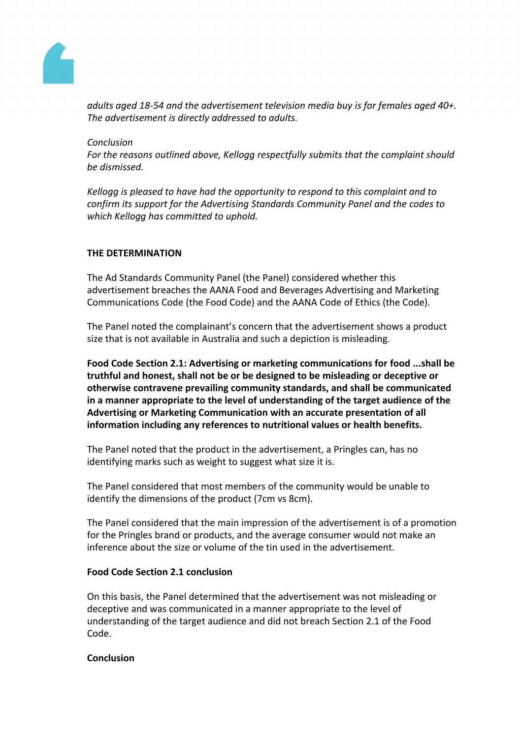

*adults aged 18-54 and the advertisement television media buy is for females aged 40+. The advertisement is directly addressed to adults.*

*Conclusion*

*For the reasons outlined above, Kellogg respectfully submits that the complaint should be dismissed.*

*Kellogg is pleased to have had the opportunity to respond to this complaint and to confirm its support for the Advertising Standards Community Panel and the codes to which Kellogg has committed to uphold.*

## **THE DETERMINATION**

The Ad Standards Community Panel (the Panel) considered whether this advertisement breaches the AANA Food and Beverages Advertising and Marketing Communications Code (the Food Code) and the AANA Code of Ethics (the Code).

The Panel noted the complainant's concern that the advertisement shows a product size that is not available in Australia and such a depiction is misleading.

**Food Code Section 2.1: Advertising or marketing communications for food ...shall be truthful and honest, shall not be or be designed to be misleading or deceptive or otherwise contravene prevailing community standards, and shall be communicated in a manner appropriate to the level of understanding of the target audience of the Advertising or Marketing Communication with an accurate presentation of all information including any references to nutritional values or health benefits.**

The Panel noted that the product in the advertisement, a Pringles can, has no identifying marks such as weight to suggest what size it is.

The Panel considered that most members of the community would be unable to identify the dimensions of the product (7cm vs 8cm).

The Panel considered that the main impression of the advertisement is of a promotion for the Pringles brand or products, and the average consumer would not make an inference about the size or volume of the tin used in the advertisement.

## **Food Code Section 2.1 conclusion**

On this basis, the Panel determined that the advertisement was not misleading or deceptive and was communicated in a manner appropriate to the level of understanding of the target audience and did not breach Section 2.1 of the Food Code.

#### **Conclusion**